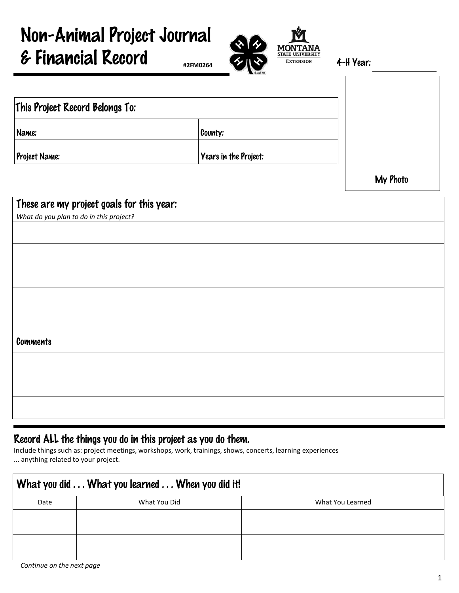## Non-Animal Project Journal & Financial Record 4-H Year:

| This Project Record Belongs To: |                       |  |
|---------------------------------|-----------------------|--|
| Name:                           | County:               |  |
| Project Name:                   | Years in the Project: |  |

| These are my project goals for this year: |
|-------------------------------------------|
| What do you plan to do in this project?   |
|                                           |
|                                           |
|                                           |
|                                           |
|                                           |
|                                           |
|                                           |
|                                           |
|                                           |
| <b>Comments</b>                           |
|                                           |
|                                           |
|                                           |
|                                           |
|                                           |
|                                           |
|                                           |
|                                           |

## Record ALL the things you do in this project as you do them.

Include things such as: project meetings, workshops, work, trainings, shows, concerts, learning experiences ... anything related to your project.

| What you did What you learned When you did it! |              |                  |  |
|------------------------------------------------|--------------|------------------|--|
| Date                                           | What You Did | What You Learned |  |
|                                                |              |                  |  |
|                                                |              |                  |  |
|                                                |              |                  |  |
|                                                |              |                  |  |



**#2FM0264**

My Photo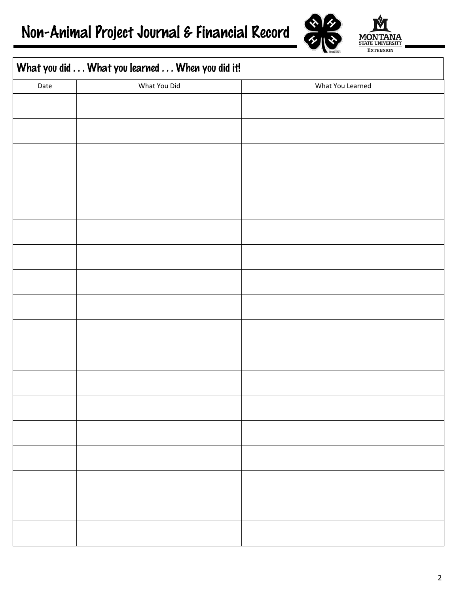

**MON STATE UNIVERSITY EXTENSION** 

## What you did  $\dots$  What you learned  $\dots$  When you did it!

| л.   |              |                  |
|------|--------------|------------------|
| Date | What You Did | What You Learned |
|      |              |                  |
|      |              |                  |
|      |              |                  |
|      |              |                  |
|      |              |                  |
|      |              |                  |
|      |              |                  |
|      |              |                  |
|      |              |                  |
|      |              |                  |
|      |              |                  |
|      |              |                  |
|      |              |                  |
|      |              |                  |
|      |              |                  |
|      |              |                  |
|      |              |                  |
|      |              |                  |
|      |              |                  |
|      |              |                  |
|      |              |                  |
|      |              |                  |
|      |              |                  |
|      |              |                  |
|      |              |                  |
|      |              |                  |
|      |              |                  |
|      |              |                  |
|      |              |                  |
|      |              |                  |
|      |              |                  |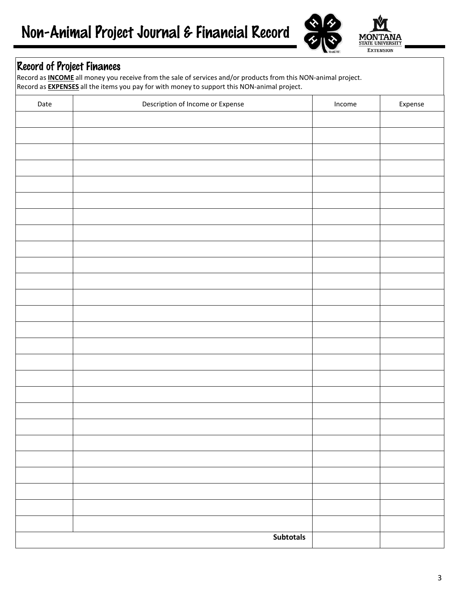

## Record of Project Finances

Record as **INCOME** all money you receive from the sale of services and/or products from this NON-animal project. Record as **EXPENSES** all the items you pay for with money to support this NON-animal project.

| Date | Description of Income or Expense | Income | Expense |
|------|----------------------------------|--------|---------|
|      |                                  |        |         |
|      |                                  |        |         |
|      |                                  |        |         |
|      |                                  |        |         |
|      |                                  |        |         |
|      |                                  |        |         |
|      |                                  |        |         |
|      |                                  |        |         |
|      |                                  |        |         |
|      |                                  |        |         |
|      |                                  |        |         |
|      |                                  |        |         |
|      |                                  |        |         |
|      |                                  |        |         |
|      |                                  |        |         |
|      |                                  |        |         |
|      |                                  |        |         |
|      |                                  |        |         |
|      |                                  |        |         |
|      |                                  |        |         |
|      |                                  |        |         |
|      |                                  |        |         |
|      |                                  |        |         |
|      |                                  |        |         |
|      |                                  |        |         |
|      |                                  |        |         |
|      | Subtotals                        |        |         |